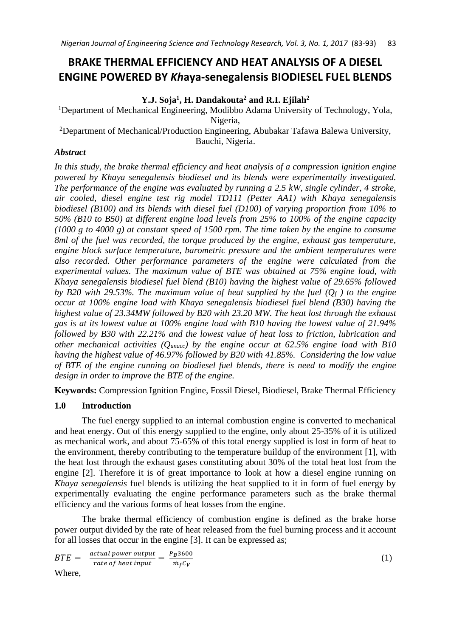# **BRAKE THERMAL EFFICIENCY AND HEAT ANALYSIS OF A DIESEL ENGINE POWERED BY** *Kh***aya-senegalensis BIODIESEL FUEL BLENDS**

**Y.J. Soja<sup>1</sup> , H. Dandakouta<sup>2</sup> and R.I. Ejilah<sup>2</sup>**

<sup>1</sup>Department of Mechanical Engineering, Modibbo Adama University of Technology, Yola, Nigeria,

<sup>2</sup>Department of Mechanical/Production Engineering, Abubakar Tafawa Balewa University, Bauchi, Nigeria.

# *Abstract*

*In this study, the brake thermal efficiency and heat analysis of a compression ignition engine powered by Khaya senegalensis biodiesel and its blends were experimentally investigated. The performance of the engine was evaluated by running a 2.5 kW, single cylinder, 4 stroke, air cooled, diesel engine test rig model TD111 (Petter AA1) with Khaya senegalensis biodiesel (B100) and its blends with diesel fuel (D100) of varying proportion from 10% to 50% (B10 to B50) at different engine load levels from 25% to 100% of the engine capacity (1000 g to 4000 g) at constant speed of 1500 rpm. The time taken by the engine to consume 8ml of the fuel was recorded, the torque produced by the engine, exhaust gas temperature, engine block surface temperature, barometric pressure and the ambient temperatures were also recorded. Other performance parameters of the engine were calculated from the experimental values. The maximum value of BTE was obtained at 75% engine load, with Khaya senegalensis biodiesel fuel blend (B10) having the highest value of 29.65% followed by B20 with 29.53%. The maximum value of heat supplied by the fuel (Q<sup>f</sup> ) to the engine occur at 100% engine load with Khaya senegalensis biodiesel fuel blend (B30) having the highest value of 23.34MW followed by B20 with 23.20 MW. The heat lost through the exhaust gas is at its lowest value at 100% engine load with B10 having the lowest value of 21.94% followed by B30 with 22.21% and the lowest value of heat loss to friction, lubrication and other mechanical activities (Qunacc) by the engine occur at 62.5% engine load with B10 having the highest value of 46.97% followed by B20 with 41.85%. Considering the low value of BTE of the engine running on biodiesel fuel blends, there is need to modify the engine design in order to improve the BTE of the engine.*

**Keywords:** Compression Ignition Engine, Fossil Diesel, Biodiesel, Brake Thermal Efficiency

# **1.0 Introduction**

The fuel energy supplied to an internal combustion engine is converted to mechanical and heat energy. Out of this energy supplied to the engine, only about 25-35% of it is utilized as mechanical work, and about 75-65% of this total energy supplied is lost in form of heat to the environment, thereby contributing to the temperature buildup of the environment [1], with the heat lost through the exhaust gases constituting about 30% of the total heat lost from the engine [2]. Therefore it is of great importance to look at how a diesel engine running on *Khaya senegalensis* fuel blends is utilizing the heat supplied to it in form of fuel energy by experimentally evaluating the engine performance parameters such as the brake thermal efficiency and the various forms of heat losses from the engine.

The brake thermal efficiency of combustion engine is defined as the brake horse power output divided by the rate of heat released from the fuel burning process and it account for all losses that occur in the engine [3]. It can be expressed as;

$$
BTE = \frac{\text{actual power output}}{\text{rate of heat input}} = \frac{P_B 3600}{m_f c_V} \tag{1}
$$
  
Where,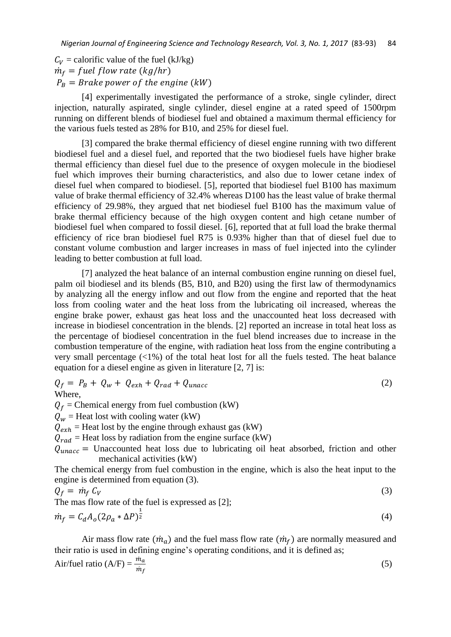$C_V$  = calorific value of the fuel (kJ/kg)  $\dot{m}_f$  = fuel flow rate (kg/hr)  $P_B =$  Brake power of the engine (kW)

[4] experimentally investigated the performance of a stroke, single cylinder, direct injection, naturally aspirated, single cylinder, diesel engine at a rated speed of 1500rpm running on different blends of biodiesel fuel and obtained a maximum thermal efficiency for the various fuels tested as 28% for B10, and 25% for diesel fuel.

[3] compared the brake thermal efficiency of diesel engine running with two different biodiesel fuel and a diesel fuel, and reported that the two biodiesel fuels have higher brake thermal efficiency than diesel fuel due to the presence of oxygen molecule in the biodiesel fuel which improves their burning characteristics, and also due to lower cetane index of diesel fuel when compared to biodiesel. [5], reported that biodiesel fuel B100 has maximum value of brake thermal efficiency of 32.4% whereas D100 has the least value of brake thermal efficiency of 29.98%, they argued that net biodiesel fuel B100 has the maximum value of brake thermal efficiency because of the high oxygen content and high cetane number of biodiesel fuel when compared to fossil diesel. [6], reported that at full load the brake thermal efficiency of rice bran biodiesel fuel R75 is 0.93% higher than that of diesel fuel due to constant volume combustion and larger increases in mass of fuel injected into the cylinder leading to better combustion at full load.

[7] analyzed the heat balance of an internal combustion engine running on diesel fuel, palm oil biodiesel and its blends (B5, B10, and B20) using the first law of thermodynamics by analyzing all the energy inflow and out flow from the engine and reported that the heat loss from cooling water and the heat loss from the lubricating oil increased, whereas the engine brake power, exhaust gas heat loss and the unaccounted heat loss decreased with increase in biodiesel concentration in the blends. [2] reported an increase in total heat loss as the percentage of biodiesel concentration in the fuel blend increases due to increase in the combustion temperature of the engine, with radiation heat loss from the engine contributing a very small percentage  $\langle 1\% \rangle$  of the total heat lost for all the fuels tested. The heat balance equation for a diesel engine as given in literature [2, 7] is:

$$
Q_f = P_B + Q_w + Q_{exh} + Q_{rad} + Q_{unacc}
$$
\nWhere,

\n
$$
(2)
$$

 $Q_f$  = Chemical energy from fuel combustion (kW)  $Q_w$  = Heat lost with cooling water (kW)  $Q_{exh}$  = Heat lost by the engine through exhaust gas (kW)  $Q_{rad}$  = Heat loss by radiation from the engine surface (kW)  $Q_{unacc}$  = Unaccounted heat loss due to lubricating oil heat absorbed, friction and other mechanical activities (kW)

The chemical energy from fuel combustion in the engine, which is also the heat input to the engine is determined from equation (3).

$$
Q_f = \dot{m}_f C_V
$$
  
The mas flow rate of the fuel is expressed as [2]; (3)

$$
\dot{m}_f = C_d A_o (2\rho_a * \Delta P)^{\frac{1}{2}} \tag{4}
$$

Air mass flow rate  $(\dot{m}_a)$  and the fuel mass flow rate  $(\dot{m}_f)$  are normally measured and their ratio is used in defining engine's operating conditions, and it is defined as;

Air/fuel ratio (A/F) = 
$$
\frac{\dot{m}_a}{\dot{m}_f}
$$
 (5)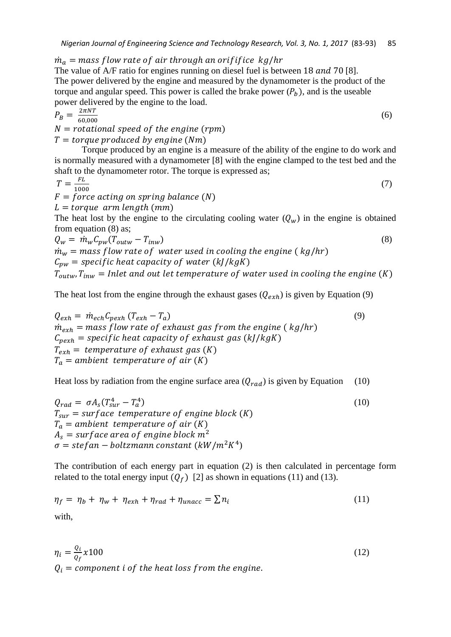$\dot{m}_a$  = mass flow rate of air through an orififice kg/hr

The value of  $A/F$  ratio for engines running on diesel fuel is between 18 and 70 [8]. The power delivered by the engine and measured by the dynamometer is the product of the torque and angular speed. This power is called the brake power  $(P_h)$ , and is the useable power delivered by the engine to the load.

$$
P_B = \frac{2\pi NT}{60,000}
$$
  
\n $N = rotational \ speed \ of \ the \ engine \ (rpm)$   
\n $T = torque \ produced \ by \ engine \ (Nm)$   
\nTorque produced by an engine is a measure of the ability of the engine to do work and

is normally measured with a dynamometer [8] with the engine clamped to the test bed and the shaft to the dynamometer rotor. The torque is expressed as;

(7)

$$
T = \frac{FL}{1000}
$$

 $F = force$  acting on spring balance (N)

 $L = torque$  arm length (mm)

The heat lost by the engine to the circulating cooling water  $(Q_w)$  in the engine is obtained from equation (8) as;

 $Q_w = \dot{m}_w C_{pw} (T_{outw} - T_{inw})$  (8)

 $\dot{m}_w$  = mass flow rate of water used in cooling the engine ( $kg/hr$ )

 $C_{pw}$  = specific heat capacity of water (kJ/kgK)

 $T_{\text{outw}}$ ,  $T_{\text{inw}}$  = Inlet and out let temperature of water used in cooling the engine (K)

The heat lost from the engine through the exhaust gases  $(Q_{exh})$  is given by Equation (9)

 $Q_{exh} = \dot{m}_{ech} C_{pexh} (T_{exh} - T_a)$  (9)  $\dot{m}_{exh}$  = mass flow rate of exhaust gas from the engine ( $kg/hr$ )  $C_{\text{peak}}$  = specific heat capacity of exhaust gas (kJ/kgK)  $T_{exh}$  = temperature of exhaust gas (K)  $T_a$  = ambient temperature of air (K)

Heat loss by radiation from the engine surface area  $(Q_{rad})$  is given by Equation (10)

 $Q_{rad} = \sigma A_s (T_{sur}^4 - T_a^4)$ )  $(10)$  $T_{\text{sur}} = \text{surface temperature of engine block (K)}$  $T_a$  = ambient temperature of air (K)  $A_s = \text{surface area of engine block } m^2$  $\sigma = \text{stefan} - \text{boltzmann constant } (kW/m^2K^4)$ 

The contribution of each energy part in equation (2) is then calculated in percentage form related to the total energy input  $(Q_f)$  [2] as shown in equations (11) and (13).

$$
\eta_f = \eta_b + \eta_w + \eta_{exh} + \eta_{rad} + \eta_{unacc} = \sum n_i
$$
\nwith,

\n
$$
(11)
$$

$$
\eta_i = \frac{Q_i}{Q_f} x 100
$$
\n
$$
Q_i = component i of the heat loss from the engine. \tag{12}
$$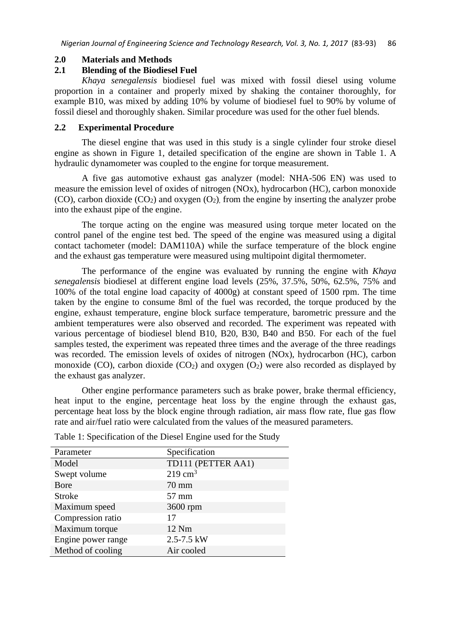#### **2.0 Materials and Methods**

# **2.1 Blending of the Biodiesel Fuel**

*Khaya senegalensis* biodiesel fuel was mixed with fossil diesel using volume proportion in a container and properly mixed by shaking the container thoroughly, for example B10, was mixed by adding 10% by volume of biodiesel fuel to 90% by volume of fossil diesel and thoroughly shaken. Similar procedure was used for the other fuel blends.

#### **2.2 Experimental Procedure**

The diesel engine that was used in this study is a single cylinder four stroke diesel engine as shown in Figure 1, detailed specification of the engine are shown in Table 1. A hydraulic dynamometer was coupled to the engine for torque measurement.

A five gas automotive exhaust gas analyzer (model: NHA-506 EN) was used to measure the emission level of oxides of nitrogen (NOx), hydrocarbon (HC), carbon monoxide (CO), carbon dioxide  $(CO_2)$  and oxygen  $(O_2)$ , from the engine by inserting the analyzer probe into the exhaust pipe of the engine.

The torque acting on the engine was measured using torque meter located on the control panel of the engine test bed. The speed of the engine was measured using a digital contact tachometer (model: DAM110A) while the surface temperature of the block engine and the exhaust gas temperature were measured using multipoint digital thermometer.

The performance of the engine was evaluated by running the engine with *Khaya senegalensis* biodiesel at different engine load levels (25%, 37.5%, 50%, 62.5%, 75% and 100% of the total engine load capacity of 4000g) at constant speed of 1500 rpm. The time taken by the engine to consume 8ml of the fuel was recorded, the torque produced by the engine, exhaust temperature, engine block surface temperature, barometric pressure and the ambient temperatures were also observed and recorded. The experiment was repeated with various percentage of biodiesel blend B10, B20, B30, B40 and B50. For each of the fuel samples tested, the experiment was repeated three times and the average of the three readings was recorded. The emission levels of oxides of nitrogen (NOx), hydrocarbon (HC), carbon monoxide (CO), carbon dioxide (CO<sub>2</sub>) and oxygen  $(O_2)$  were also recorded as displayed by the exhaust gas analyzer.

Other engine performance parameters such as brake power, brake thermal efficiency, heat input to the engine, percentage heat loss by the engine through the exhaust gas, percentage heat loss by the block engine through radiation, air mass flow rate, flue gas flow rate and air/fuel ratio were calculated from the values of the measured parameters.

| Parameter          | Specification      |
|--------------------|--------------------|
| Model              | TD111 (PETTER AA1) |
| Swept volume       | $219 \text{ cm}^3$ |
| Bore               | 70 mm              |
| <b>Stroke</b>      | $57 \text{ mm}$    |
| Maximum speed      | 3600 rpm           |
| Compression ratio  | 17                 |
| Maximum torque     | 12 Nm              |
| Engine power range | $2.5 - 7.5$ kW     |
| Method of cooling  | Air cooled         |

Table 1: Specification of the Diesel Engine used for the Study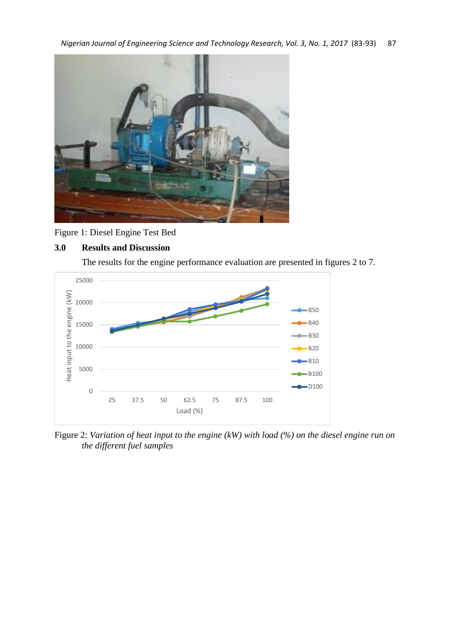

Figure 1: Diesel Engine Test Bed

# **3.0 Results and Discussion**

The results for the engine performance evaluation are presented in figures 2 to 7.



Figure 2: *Variation of heat input to the engine (kW) with load (%) on the diesel engine run on the different fuel samples*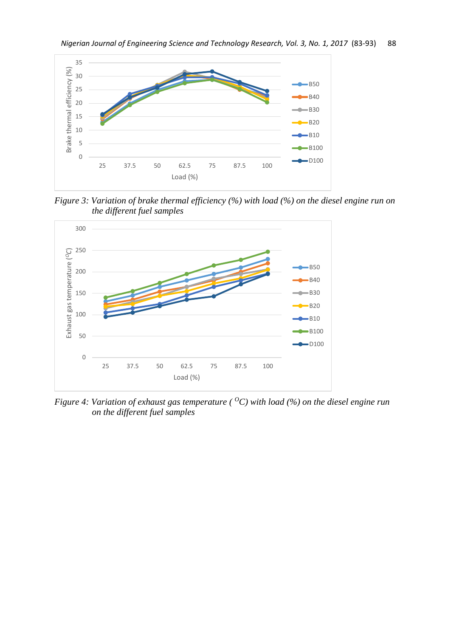

*Figure 3: Variation of brake thermal efficiency (%) with load (%) on the diesel engine run on the different fuel samples*



*Figure 4: Variation of exhaust gas temperature (* $^{\circ}$ *C) with load (%) on the diesel engine run on the different fuel samples*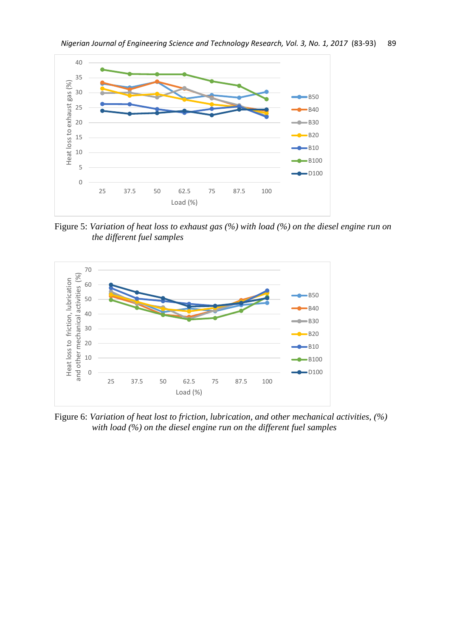

Figure 5: *Variation of heat loss to exhaust gas (%) with load (%) on the diesel engine run on the different fuel samples*



Figure 6: *Variation of heat lost to friction, lubrication, and other mechanical activities, (%) with load (%) on the diesel engine run on the different fuel samples*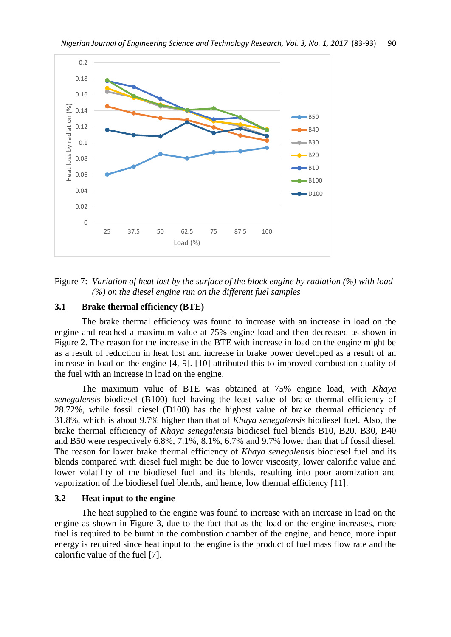

Figure 7: *Variation of heat lost by the surface of the block engine by radiation (%) with load (%) on the diesel engine run on the different fuel samples*

### **3.1 Brake thermal efficiency (BTE)**

The brake thermal efficiency was found to increase with an increase in load on the engine and reached a maximum value at 75% engine load and then decreased as shown in Figure 2. The reason for the increase in the BTE with increase in load on the engine might be as a result of reduction in heat lost and increase in brake power developed as a result of an increase in load on the engine [4, 9]. [10] attributed this to improved combustion quality of the fuel with an increase in load on the engine.

The maximum value of BTE was obtained at 75% engine load, with *Khaya senegalensis* biodiesel (B100) fuel having the least value of brake thermal efficiency of 28.72%, while fossil diesel (D100) has the highest value of brake thermal efficiency of 31.8%, which is about 9.7% higher than that of *Khaya senegalensis* biodiesel fuel. Also, the brake thermal efficiency of *Khaya senegalensis* biodiesel fuel blends B10, B20, B30, B40 and B50 were respectively 6.8%, 7.1%, 8.1%, 6.7% and 9.7% lower than that of fossil diesel. The reason for lower brake thermal efficiency of *Khaya senegalensis* biodiesel fuel and its blends compared with diesel fuel might be due to lower viscosity, lower calorific value and lower volatility of the biodiesel fuel and its blends, resulting into poor atomization and vaporization of the biodiesel fuel blends, and hence, low thermal efficiency [11].

#### **3.2 Heat input to the engine**

The heat supplied to the engine was found to increase with an increase in load on the engine as shown in Figure 3, due to the fact that as the load on the engine increases, more fuel is required to be burnt in the combustion chamber of the engine, and hence, more input energy is required since heat input to the engine is the product of fuel mass flow rate and the calorific value of the fuel [7].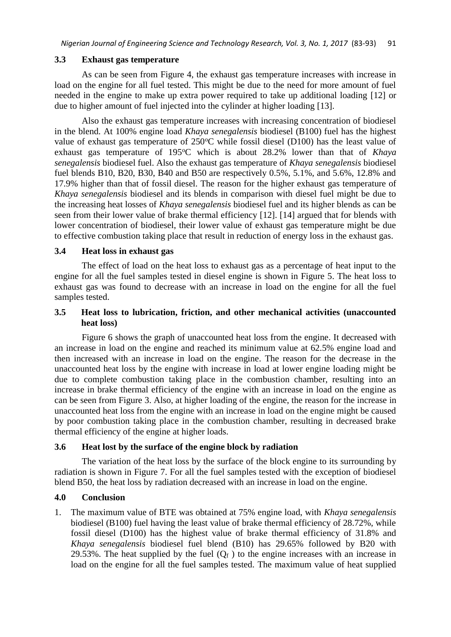### **3.3 Exhaust gas temperature**

As can be seen from Figure 4, the exhaust gas temperature increases with increase in load on the engine for all fuel tested. This might be due to the need for more amount of fuel needed in the engine to make up extra power required to take up additional loading [12] or due to higher amount of fuel injected into the cylinder at higher loading [13].

Also the exhaust gas temperature increases with increasing concentration of biodiesel in the blend. At 100% engine load *Khaya senegalensis* biodiesel (B100) fuel has the highest value of exhaust gas temperature of  $250^{\circ}$ C while fossil diesel (D100) has the least value of exhaust gas temperature of 195°C which is about 28.2% lower than that of *Khaya senegalensis* biodiesel fuel. Also the exhaust gas temperature of *Khaya senegalensis* biodiesel fuel blends B10, B20, B30, B40 and B50 are respectively 0.5%, 5.1%, and 5.6%, 12.8% and 17.9% higher than that of fossil diesel. The reason for the higher exhaust gas temperature of *Khaya senegalensis* biodiesel and its blends in comparison with diesel fuel might be due to the increasing heat losses of *Khaya senegalensis* biodiesel fuel and its higher blends as can be seen from their lower value of brake thermal efficiency [12]. [14] argued that for blends with lower concentration of biodiesel, their lower value of exhaust gas temperature might be due to effective combustion taking place that result in reduction of energy loss in the exhaust gas.

### **3.4 Heat loss in exhaust gas**

The effect of load on the heat loss to exhaust gas as a percentage of heat input to the engine for all the fuel samples tested in diesel engine is shown in Figure 5. The heat loss to exhaust gas was found to decrease with an increase in load on the engine for all the fuel samples tested.

# **3.5 Heat loss to lubrication, friction, and other mechanical activities (unaccounted heat loss)**

Figure 6 shows the graph of unaccounted heat loss from the engine. It decreased with an increase in load on the engine and reached its minimum value at 62.5% engine load and then increased with an increase in load on the engine. The reason for the decrease in the unaccounted heat loss by the engine with increase in load at lower engine loading might be due to complete combustion taking place in the combustion chamber, resulting into an increase in brake thermal efficiency of the engine with an increase in load on the engine as can be seen from Figure 3. Also, at higher loading of the engine, the reason for the increase in unaccounted heat loss from the engine with an increase in load on the engine might be caused by poor combustion taking place in the combustion chamber, resulting in decreased brake thermal efficiency of the engine at higher loads.

# **3.6 Heat lost by the surface of the engine block by radiation**

The variation of the heat loss by the surface of the block engine to its surrounding by radiation is shown in Figure 7. For all the fuel samples tested with the exception of biodiesel blend B50, the heat loss by radiation decreased with an increase in load on the engine.

# **4.0 Conclusion**

1. The maximum value of BTE was obtained at 75% engine load, with *Khaya senegalensis* biodiesel (B100) fuel having the least value of brake thermal efficiency of 28.72%, while fossil diesel (D100) has the highest value of brake thermal efficiency of 31.8% and *Khaya senegalensis* biodiesel fuel blend (B10) has 29.65% followed by B20 with 29.53%. The heat supplied by the fuel  $(Q_f)$  to the engine increases with an increase in load on the engine for all the fuel samples tested. The maximum value of heat supplied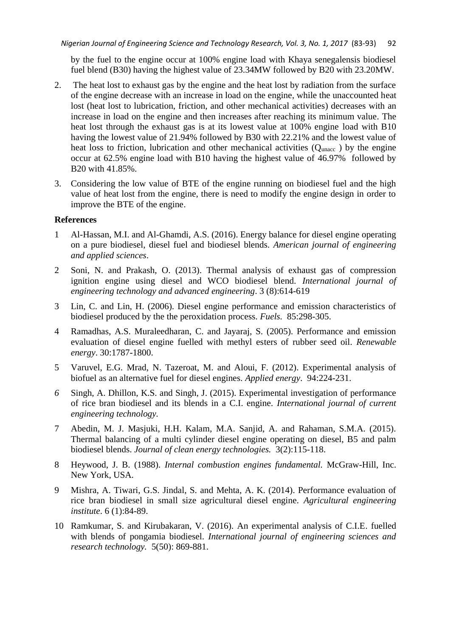by the fuel to the engine occur at 100% engine load with Khaya senegalensis biodiesel fuel blend (B30) having the highest value of 23.34MW followed by B20 with 23.20MW.

- 2. The heat lost to exhaust gas by the engine and the heat lost by radiation from the surface of the engine decrease with an increase in load on the engine, while the unaccounted heat lost (heat lost to lubrication, friction, and other mechanical activities) decreases with an increase in load on the engine and then increases after reaching its minimum value. The heat lost through the exhaust gas is at its lowest value at 100% engine load with B10 having the lowest value of 21.94% followed by B30 with 22.21% and the lowest value of heat loss to friction, lubrication and other mechanical activities  $(Q_{\text{unacc}})$  by the engine occur at 62.5% engine load with B10 having the highest value of 46.97% followed by B20 with 41.85%.
- 3. Considering the low value of BTE of the engine running on biodiesel fuel and the high value of heat lost from the engine, there is need to modify the engine design in order to improve the BTE of the engine.

# **References**

- 1 Al-Hassan, M.I. and Al-Ghamdi, A.S. (2016). Energy balance for diesel engine operating on a pure biodiesel, diesel fuel and biodiesel blends. *American journal of engineering and applied sciences*.
- 2 Soni, N. and Prakash, O. (2013). Thermal analysis of exhaust gas of compression ignition engine using diesel and WCO biodiesel blend. *International journal of engineering technology and advanced engineering*. 3 (8):614-619
- 3 Lin, C. and Lin, H. (2006). Diesel engine performance and emission characteristics of biodiesel produced by the the peroxidation process. *Fuels.* 85:298-305.
- 4 Ramadhas, A.S. Muraleedharan, C. and Jayaraj, S. (2005). Performance and emission evaluation of diesel engine fuelled with methyl esters of rubber seed oil. *Renewable energy*. 30:1787-1800.
- 5 Varuvel, E.G. Mrad, N. Tazeroat, M. and Aloui, F. (2012). Experimental analysis of biofuel as an alternative fuel for diesel engines. *Applied energy*. 94:224-231.
- *6* Singh, A. Dhillon, K.S. and Singh, J. (2015). Experimental investigation of performance of rice bran biodiesel and its blends in a C.I. engine. *International journal of current engineering technology.*
- 7 Abedin, M. J. Masjuki, H.H. Kalam, M.A. Sanjid, A. and Rahaman, S.M.A. (2015). Thermal balancing of a multi cylinder diesel engine operating on diesel, B5 and palm biodiesel blends. *Journal of clean energy technologies.* 3(2):115-118.
- 8 Heywood, J. B. (1988). *Internal combustion engines fundamental.* McGraw-Hill, Inc. New York, USA.
- 9 Mishra, A. Tiwari, G.S. Jindal, S. and Mehta, A. K. (2014). Performance evaluation of rice bran biodiesel in small size agricultural diesel engine. *Agricultural engineering institute*. 6 (1):84-89.
- 10 Ramkumar, S. and Kirubakaran, V. (2016). An experimental analysis of C.I.E. fuelled with blends of pongamia biodiesel. *International journal of engineering sciences and research technology.* 5(50): 869-881.